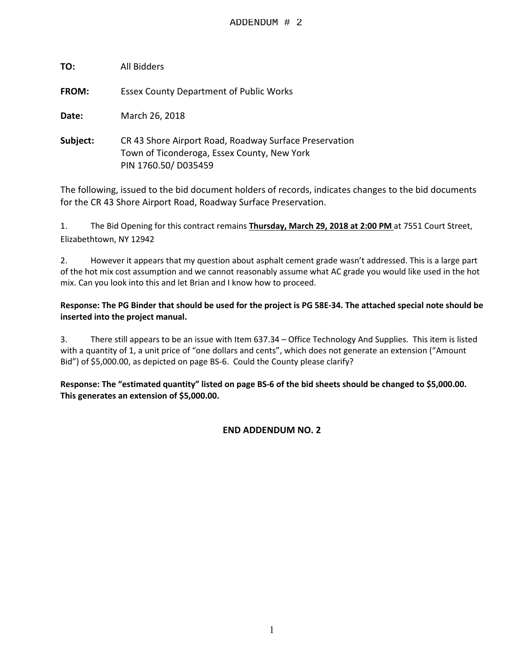| TO:          | All Bidders                                                                                                                  |
|--------------|------------------------------------------------------------------------------------------------------------------------------|
| <b>FROM:</b> | <b>Essex County Department of Public Works</b>                                                                               |
| Date:        | March 26, 2018                                                                                                               |
| Subject:     | CR 43 Shore Airport Road, Roadway Surface Preservation<br>Town of Ticonderoga, Essex County, New York<br>PIN 1760.50/D035459 |

The following, issued to the bid document holders of records, indicates changes to the bid documents for the CR 43 Shore Airport Road, Roadway Surface Preservation.

1. The Bid Opening for this contract remains **Thursday, March 29, 2018 at 2:00 PM** at 7551 Court Street, Elizabethtown, NY 12942

2. However it appears that my question about asphalt cement grade wasn't addressed. This is a large part of the hot mix cost assumption and we cannot reasonably assume what AC grade you would like used in the hot mix. Can you look into this and let Brian and I know how to proceed.

### **Response: The PG Binder that should be used for the project is PG 58E-34. The attached special note should be inserted into the project manual.**

3. There still appears to be an issue with Item 637.34 – Office Technology And Supplies. This item is listed with a quantity of 1, a unit price of "one dollars and cents", which does not generate an extension ("Amount Bid") of \$5,000.00, as depicted on page BS-6. Could the County please clarify?

**Response: The "estimated quantity" listed on page BS-6 of the bid sheets should be changed to \$5,000.00. This generates an extension of \$5,000.00.** 

### **END ADDENDUM NO. 2**